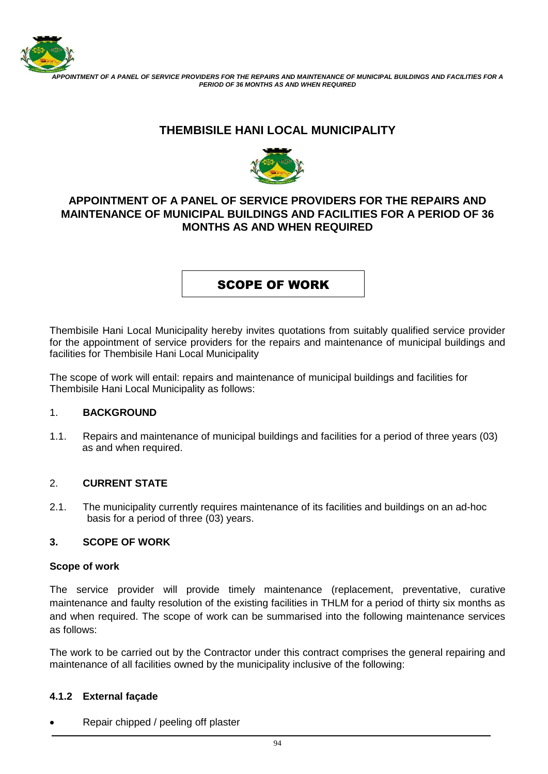

 *APPOINTMENT OF A PANEL OF SERVICE PROVIDERS FOR THE REPAIRS AND MAINTENANCE OF MUNICIPAL BUILDINGS AND FACILITIES FOR A PERIOD OF 36 MONTHS AS AND WHEN REQUIRED*

# **THEMBISILE HANI LOCAL MUNICIPALITY**



## **APPOINTMENT OF A PANEL OF SERVICE PROVIDERS FOR THE REPAIRS AND MAINTENANCE OF MUNICIPAL BUILDINGS AND FACILITIES FOR A PERIOD OF 36 MONTHS AS AND WHEN REQUIRED**

## SCOPE OF WORK

Thembisile Hani Local Municipality hereby invites quotations from suitably qualified service provider for the appointment of service providers for the repairs and maintenance of municipal buildings and facilities for Thembisile Hani Local Municipality

The scope of work will entail: repairs and maintenance of municipal buildings and facilities for Thembisile Hani Local Municipality as follows:

#### 1. **BACKGROUND**

1.1. Repairs and maintenance of municipal buildings and facilities for a period of three years (03) as and when required.

#### 2. **CURRENT STATE**

2.1. The municipality currently requires maintenance of its facilities and buildings on an ad-hoc basis for a period of three (03) years.

#### **3. SCOPE OF WORK**

#### **Scope of work**

The service provider will provide timely maintenance (replacement, preventative, curative maintenance and faulty resolution of the existing facilities in THLM for a period of thirty six months as and when required. The scope of work can be summarised into the following maintenance services as follows:

The work to be carried out by the Contractor under this contract comprises the general repairing and maintenance of all facilities owned by the municipality inclusive of the following:

#### **4.1.2 External façade**

Repair chipped / peeling off plaster